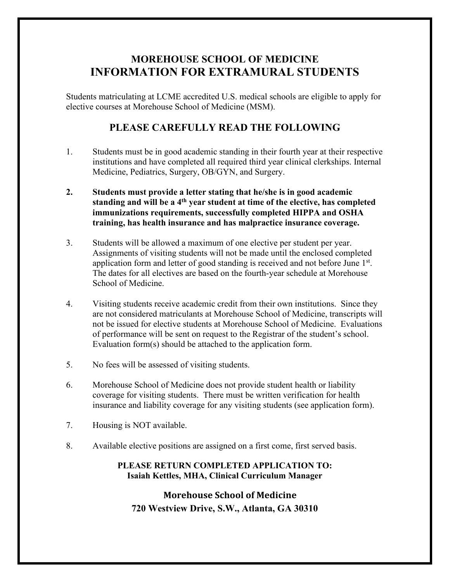# **MOREHOUSE SCHOOL OF MEDICINE INFORMATION FOR EXTRAMURAL STUDENTS**

Students matriculating at LCME accredited U.S. medical schools are eligible to apply for elective courses at Morehouse School of Medicine (MSM).

### **PLEASE CAREFULLY READ THE FOLLOWING**

- 1. Students must be in good academic standing in their fourth year at their respective institutions and have completed all required third year clinical clerkships. Internal Medicine, Pediatrics, Surgery, OB/GYN, and Surgery.
- **2. Students must provide a letter stating that he/she is in good academic standing and will be a 4th year student at time of the elective, has completed immunizations requirements, successfully completed HIPPA and OSHA training, has health insurance and has malpractice insurance coverage.**
- 3. Students will be allowed a maximum of one elective per student per year. Assignments of visiting students will not be made until the enclosed completed application form and letter of good standing is received and not before June  $1<sup>st</sup>$ . The dates for all electives are based on the fourth-year schedule at Morehouse School of Medicine.
- 4. Visiting students receive academic credit from their own institutions. Since they are not considered matriculants at Morehouse School of Medicine, transcripts will not be issued for elective students at Morehouse School of Medicine. Evaluations of performance will be sent on request to the Registrar of the student's school. Evaluation form(s) should be attached to the application form.
- 5. No fees will be assessed of visiting students.
- 6. Morehouse School of Medicine does not provide student health or liability coverage for visiting students. There must be written verification for health insurance and liability coverage for any visiting students (see application form).
- 7. Housing is NOT available.
- 8. Available elective positions are assigned on a first come, first served basis.

#### **PLEASE RETURN COMPLETED APPLICATION TO: Isaiah Kettles, MHA, Clinical Curriculum Manager**

### **Morehouse School of Medicine 720 Westview Drive, S.W., Atlanta, GA 30310**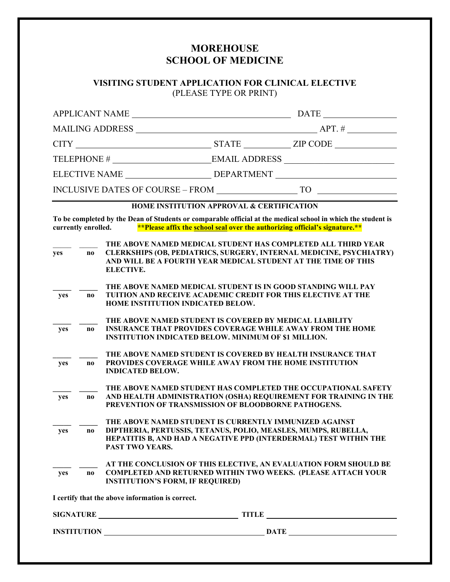## **MOREHOUSE SCHOOL OF MEDICINE**

#### **VISITING STUDENT APPLICATION FOR CLINICAL ELECTIVE** (PLEASE TYPE OR PRINT)

|                                                                                                                                                                                                                    |                        | <b>APPLICANT NAME</b>                                                                                                                                                                                                           |  |  |
|--------------------------------------------------------------------------------------------------------------------------------------------------------------------------------------------------------------------|------------------------|---------------------------------------------------------------------------------------------------------------------------------------------------------------------------------------------------------------------------------|--|--|
|                                                                                                                                                                                                                    |                        |                                                                                                                                                                                                                                 |  |  |
|                                                                                                                                                                                                                    |                        |                                                                                                                                                                                                                                 |  |  |
|                                                                                                                                                                                                                    |                        |                                                                                                                                                                                                                                 |  |  |
|                                                                                                                                                                                                                    |                        | ELECTIVE NAME __________________________DEPARTMENT _____________________________                                                                                                                                                |  |  |
|                                                                                                                                                                                                                    |                        | INCLUSIVE DATES OF COURSE – FROM $\qquad \qquad$ TO                                                                                                                                                                             |  |  |
| <b>HOME INSTITUTION APPROVAL &amp; CERTIFICATION</b>                                                                                                                                                               |                        |                                                                                                                                                                                                                                 |  |  |
| To be completed by the Dean of Students or comparable official at the medical school in which the student is<br>currently enrolled.<br>**Please affix the school seal over the authorizing official's signature.** |                        |                                                                                                                                                                                                                                 |  |  |
| yes                                                                                                                                                                                                                | no                     | THE ABOVE NAMED MEDICAL STUDENT HAS COMPLETED ALL THIRD YEAR<br><b>CLERKSHIPS (OB, PEDIATRICS, SURGERY, INTERNAL MEDICINE, PSYCHIATRY)</b><br>AND WILL BE A FOURTH YEAR MEDICAL STUDENT AT THE TIME OF THIS<br><b>ELECTIVE.</b> |  |  |
| yes                                                                                                                                                                                                                | $\mathbf{n}\mathbf{o}$ | THE ABOVE NAMED MEDICAL STUDENT IS IN GOOD STANDING WILL PAY<br><b>TUITION AND RECEIVE ACADEMIC CREDIT FOR THIS ELECTIVE AT THE</b><br>HOME INSTITUTION INDICATED BELOW.                                                        |  |  |
| yes                                                                                                                                                                                                                | $\mathbf{n}\mathbf{o}$ | THE ABOVE NAMED STUDENT IS COVERED BY MEDICAL LIABILITY<br><b>INSURANCE THAT PROVIDES COVERAGE WHILE AWAY FROM THE HOME</b><br><b>INSTITUTION INDICATED BELOW. MINIMUM OF \$1 MILLION.</b>                                      |  |  |
| yes                                                                                                                                                                                                                | $\bf{no}$              | THE ABOVE NAMED STUDENT IS COVERED BY HEALTH INSURANCE THAT<br>PROVIDES COVERAGE WHILE AWAY FROM THE HOME INSTITUTION<br><b>INDICATED BELOW.</b>                                                                                |  |  |
| yes                                                                                                                                                                                                                | no                     | THE ABOVE NAMED STUDENT HAS COMPLETED THE OCCUPATIONAL SAFETY<br>AND HEALTH ADMINISTRATION (OSHA) REQUIREMENT FOR TRAINING IN THE<br>PREVENTION OF TRANSMISSION OF BLOODBORNE PATHOGENS.                                        |  |  |
| yes                                                                                                                                                                                                                | no                     | THE ABOVE NAMED STUDENT IS CURRENTLY IMMUNIZED AGAINST<br>DIPTHERIA, PERTUSSIS, TETANUS, POLIO, MEASLES, MUMPS, RUBELLA,<br>HEPATITIS B, AND HAD A NEGATIVE PPD (INTERDERMAL) TEST WITHIN THE<br><b>PAST TWO YEARS.</b>         |  |  |
| yes                                                                                                                                                                                                                | no                     | AT THE CONCLUSION OF THIS ELECTIVE, AN EVALUATION FORM SHOULD BE<br><b>COMPLETED AND RETURNED WITHIN TWO WEEKS. (PLEASE ATTACH YOUR</b><br><b>INSTITUTION'S FORM, IF REQUIRED)</b>                                              |  |  |
|                                                                                                                                                                                                                    |                        | I certify that the above information is correct.                                                                                                                                                                                |  |  |
|                                                                                                                                                                                                                    |                        | SIGNATURE TITLE TITLE                                                                                                                                                                                                           |  |  |
|                                                                                                                                                                                                                    |                        |                                                                                                                                                                                                                                 |  |  |
|                                                                                                                                                                                                                    |                        |                                                                                                                                                                                                                                 |  |  |